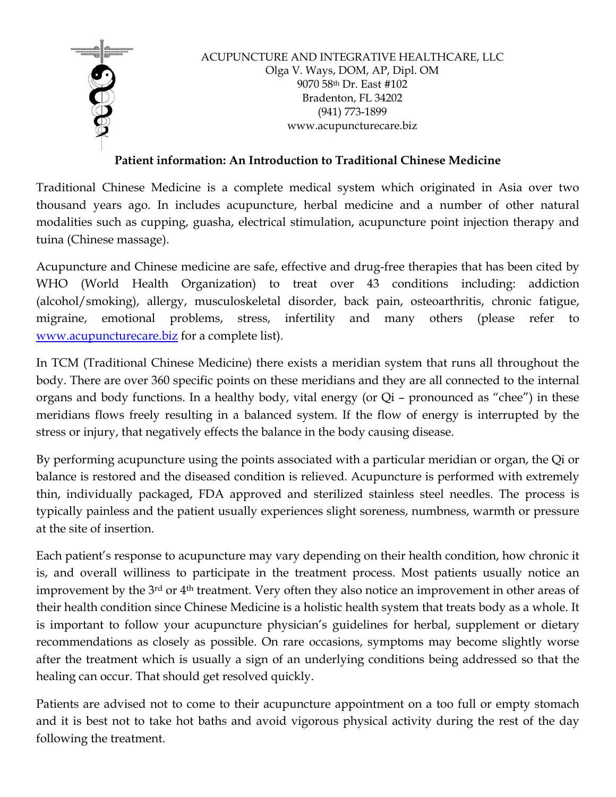

ACUPUNCTURE AND INTEGRATIVE HEALTHCARE, LLC Olga V. Ways, DOM, AP, Dipl. OM 9070 58th Dr. East #102 Bradenton, FL 34202 (941) 773-1899 www.acupuncturecare.biz

# **Patient information: An Introduction to Traditional Chinese Medicine**

Traditional Chinese Medicine is a complete medical system which originated in Asia over two thousand years ago. In includes acupuncture, herbal medicine and a number of other natural modalities such as cupping, guasha, electrical stimulation, acupuncture point injection therapy and tuina (Chinese massage).

Acupuncture and Chinese medicine are safe, effective and drug-free therapies that has been cited by WHO (World Health Organization) to treat over 43 conditions including: addiction (alcohol/smoking), allergy, musculoskeletal disorder, back pain, osteoarthritis, chronic fatigue, migraine, emotional problems, stress, infertility and many others (please refer to www.acupuncturecare.biz for a complete list).

In TCM (Traditional Chinese Medicine) there exists a meridian system that runs all throughout the body. There are over 360 specific points on these meridians and they are all connected to the internal organs and body functions. In a healthy body, vital energy (or Qi – pronounced as "chee") in these meridians flows freely resulting in a balanced system. If the flow of energy is interrupted by the stress or injury, that negatively effects the balance in the body causing disease.

By performing acupuncture using the points associated with a particular meridian or organ, the Qi or balance is restored and the diseased condition is relieved. Acupuncture is performed with extremely thin, individually packaged, FDA approved and sterilized stainless steel needles. The process is typically painless and the patient usually experiences slight soreness, numbness, warmth or pressure at the site of insertion.

Each patient's response to acupuncture may vary depending on their health condition, how chronic it is, and overall williness to participate in the treatment process. Most patients usually notice an improvement by the 3<sup>rd</sup> or 4<sup>th</sup> treatment. Very often they also notice an improvement in other areas of their health condition since Chinese Medicine is a holistic health system that treats body as a whole. It is important to follow your acupuncture physician's guidelines for herbal, supplement or dietary recommendations as closely as possible. On rare occasions, symptoms may become slightly worse after the treatment which is usually a sign of an underlying conditions being addressed so that the healing can occur. That should get resolved quickly.

Patients are advised not to come to their acupuncture appointment on a too full or empty stomach and it is best not to take hot baths and avoid vigorous physical activity during the rest of the day following the treatment.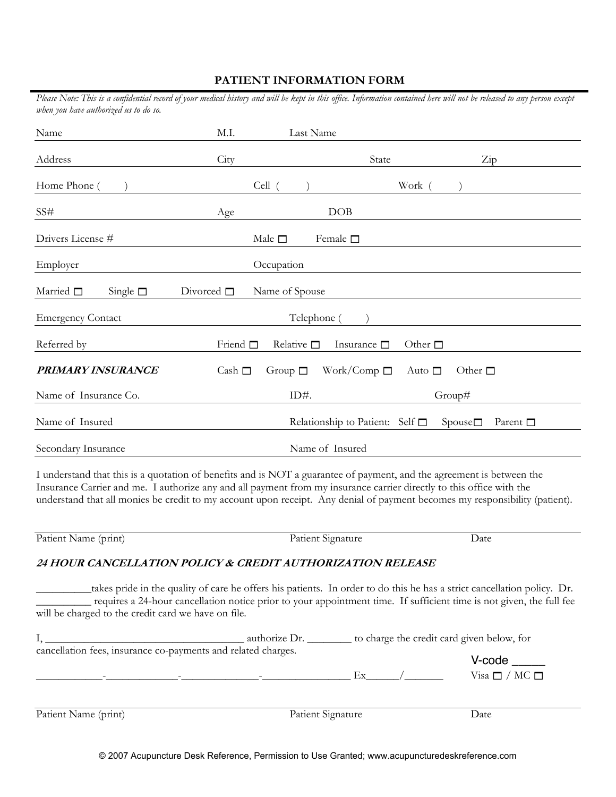## **PATIENT INFORMATION FORM**

| Please Note: This is a confidential record of your medical history and will be kept in this office. Information contained here will not be released to any person except<br>when you have authorized us to do so.                                                                                                                                                            |                    |                    |                                      |                 |                                                                                                                                                                                                                                                 |  |
|------------------------------------------------------------------------------------------------------------------------------------------------------------------------------------------------------------------------------------------------------------------------------------------------------------------------------------------------------------------------------|--------------------|--------------------|--------------------------------------|-----------------|-------------------------------------------------------------------------------------------------------------------------------------------------------------------------------------------------------------------------------------------------|--|
| Name                                                                                                                                                                                                                                                                                                                                                                         | M.I.               | Last Name          |                                      |                 |                                                                                                                                                                                                                                                 |  |
| Address                                                                                                                                                                                                                                                                                                                                                                      | City               |                    | State                                |                 | Zip                                                                                                                                                                                                                                             |  |
| Home Phone (                                                                                                                                                                                                                                                                                                                                                                 |                    | Cell (             |                                      | Work            |                                                                                                                                                                                                                                                 |  |
| SS#                                                                                                                                                                                                                                                                                                                                                                          | Age                |                    | DOB                                  |                 |                                                                                                                                                                                                                                                 |  |
| Drivers License #                                                                                                                                                                                                                                                                                                                                                            |                    | Male $\square$     | Female $\square$                     |                 |                                                                                                                                                                                                                                                 |  |
| Employer                                                                                                                                                                                                                                                                                                                                                                     |                    | Occupation         |                                      |                 |                                                                                                                                                                                                                                                 |  |
| Married $\square$<br>Single $\square$                                                                                                                                                                                                                                                                                                                                        | Divorced $\square$ | Name of Spouse     |                                      |                 |                                                                                                                                                                                                                                                 |  |
| <b>Emergency Contact</b>                                                                                                                                                                                                                                                                                                                                                     |                    | Telephone (        |                                      |                 |                                                                                                                                                                                                                                                 |  |
| Referred by                                                                                                                                                                                                                                                                                                                                                                  | Friend $\square$   | Relative $\square$ | Insurance $\square$                  | Other $\square$ |                                                                                                                                                                                                                                                 |  |
| PRIMARY INSURANCE                                                                                                                                                                                                                                                                                                                                                            | Cash $\Box$        | Group $\Box$       | Work/Comp $\square$                  | Auto $\Box$     | Other $\square$                                                                                                                                                                                                                                 |  |
| Name of Insurance Co.                                                                                                                                                                                                                                                                                                                                                        |                    | ID#.               |                                      |                 | Group#                                                                                                                                                                                                                                          |  |
| Name of Insured                                                                                                                                                                                                                                                                                                                                                              |                    |                    | Relationship to Patient: Self $\Box$ |                 | $Spouse \square$<br>Parent $\square$                                                                                                                                                                                                            |  |
| Secondary Insurance                                                                                                                                                                                                                                                                                                                                                          |                    |                    | Name of Insured                      |                 |                                                                                                                                                                                                                                                 |  |
| I understand that this is a quotation of benefits and is NOT a guarantee of payment, and the agreement is between the<br>Insurance Carrier and me. I authorize any and all payment from my insurance carrier directly to this office with the<br>understand that all monies be credit to my account upon receipt. Any denial of payment becomes my responsibility (patient). |                    |                    |                                      |                 |                                                                                                                                                                                                                                                 |  |
| Patient Name (print)                                                                                                                                                                                                                                                                                                                                                         |                    |                    | Patient Signature                    |                 | Date                                                                                                                                                                                                                                            |  |
| 24 HOUR CANCELLATION POLICY & CREDIT AUTHORIZATION RELEASE                                                                                                                                                                                                                                                                                                                   |                    |                    |                                      |                 |                                                                                                                                                                                                                                                 |  |
| will be charged to the credit card we have on file.                                                                                                                                                                                                                                                                                                                          |                    |                    |                                      |                 | takes pride in the quality of care he offers his patients. In order to do this he has a strict cancellation policy. Dr.<br>requires a 24-hour cancellation notice prior to your appointment time. If sufficient time is not given, the full fee |  |

|                                                               | authorize Dr.     | to charge the credit card given below, for |                                            |  |  |
|---------------------------------------------------------------|-------------------|--------------------------------------------|--------------------------------------------|--|--|
| cancellation fees, insurance co-payments and related charges. |                   | Ex                                         | $V\text{-code}$<br>Visa $\Box$ / MC $\Box$ |  |  |
| Patient Name (print)                                          | Patient Signature |                                            | Date                                       |  |  |

© 2007 Acupuncture Desk Reference, Permission to Use Granted; www.acupuncturedeskreference.com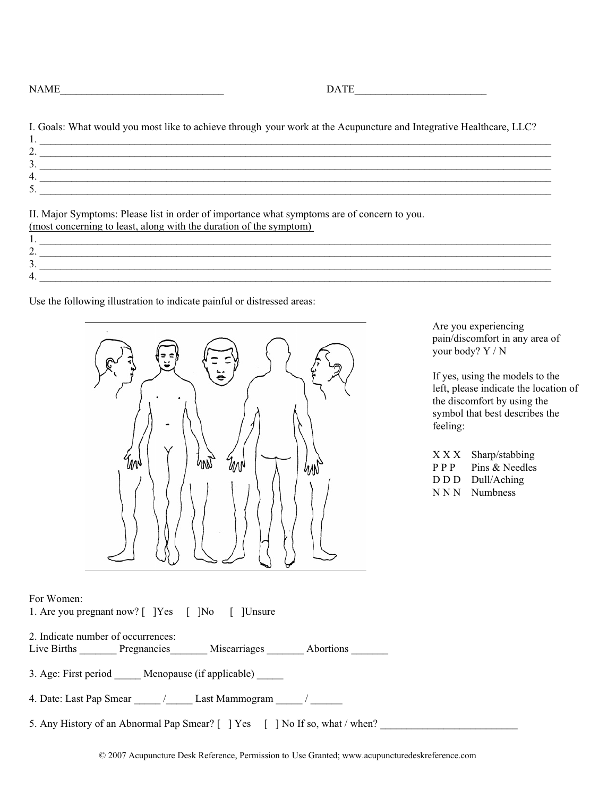$\text{DATE\_}$ 

I. Goals: What would you most like to achieve through your work at the Acupuncture and Integrative Healthcare, LLC? 1. \_\_\_\_\_\_\_\_\_\_\_\_\_\_\_\_\_\_\_\_\_\_\_\_\_\_\_\_\_\_\_\_\_\_\_\_\_\_\_\_\_\_\_\_\_\_\_\_\_\_\_\_\_\_\_\_\_\_\_\_\_\_\_\_\_\_\_\_\_\_\_\_\_\_\_\_\_\_\_\_\_\_\_\_\_\_\_\_\_\_\_\_\_\_\_\_\_  $2. \rule{0.3cm}{0.15cm}$  $3. \rule{0.2cm}{0.2cm}$  $4.$  $5.$ 

II. Major Symptoms: Please list in order of importance what symptoms are of concern to you. (most concerning to least, along with the duration of the symptom)

1. \_\_\_\_\_\_\_\_\_\_\_\_\_\_\_\_\_\_\_\_\_\_\_\_\_\_\_\_\_\_\_\_\_\_\_\_\_\_\_\_\_\_\_\_\_\_\_\_\_\_\_\_\_\_\_\_\_\_\_\_\_\_\_\_\_\_\_\_\_\_\_\_\_\_\_\_\_\_\_\_\_\_\_\_\_\_\_\_\_\_\_\_\_\_\_\_\_ 2.  $\Box$  $3. \rule{0.7cm}{0.15cm}$  $4.$ 

Use the following illustration to indicate painful or distressed areas:



Are you experiencing pain/discomfort in any area of your body? Y / N

If yes, using the models to the left, please indicate the location of the discomfort by using the symbol that best describes the feeling:

| ХXX         | Sharp/stabbing  |
|-------------|-----------------|
| $P$ $P$ $P$ | Pins & Needles  |
| D D D       | Dull/Aching     |
| N N N       | <b>Numbness</b> |

## For Women:

1. Are you pregnant now? [ ]Yes [ ]No [ ]Unsure

2. Indicate number of occurrences: Live Births \_\_\_\_\_\_\_ Pregnancies \_\_\_\_\_\_\_ Miscarriages \_\_\_\_\_\_\_ Abortions \_\_\_\_\_\_\_\_

3. Age: First period Menopause (if applicable)

4. Date: Last Pap Smear \_\_\_\_\_ / \_\_\_\_\_\_ Last Mammogram \_\_\_\_\_ / \_\_\_\_\_\_

5. Any History of an Abnormal Pap Smear? [ ] Yes [ ] No If so, what / when?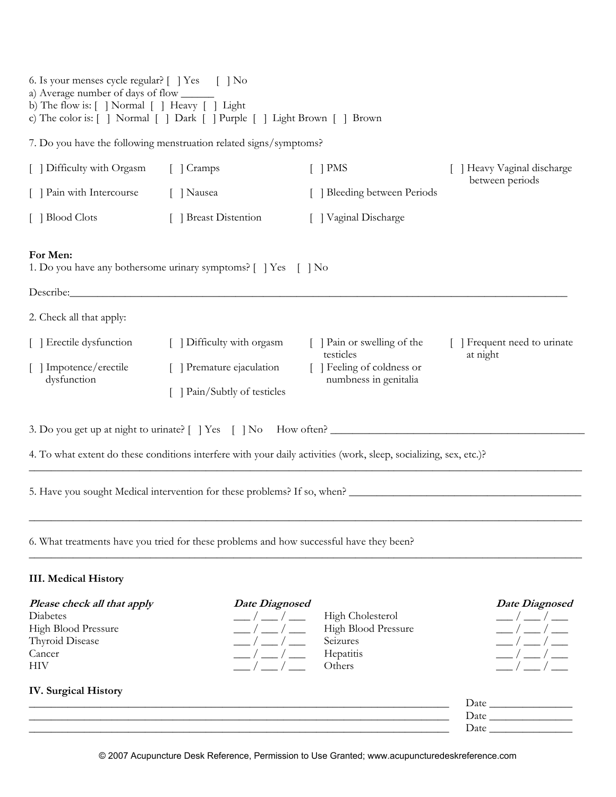| 6. Is your menses cycle regular? [ ] Yes [ ] No<br>a) Average number of days of flow _______              |                                                                                         |                                                                                                                   |                              |
|-----------------------------------------------------------------------------------------------------------|-----------------------------------------------------------------------------------------|-------------------------------------------------------------------------------------------------------------------|------------------------------|
| b) The flow is: [ ] Normal [ ] Heavy [ ] Light                                                            | c) The color is: [ ] Normal [ ] Dark [ ] Purple [ ] Light Brown [ ] Brown               |                                                                                                                   |                              |
|                                                                                                           | 7. Do you have the following menstruation related signs/symptoms?                       |                                                                                                                   |                              |
| [ ] Difficulty with Orgasm                                                                                | [ ] Cramps                                                                              | $\lceil$   PMS                                                                                                    | [ ] Heavy Vaginal discharge  |
| [ ] Pain with Intercourse                                                                                 | [ ] Nausea                                                                              | Bleeding between Periods                                                                                          | between periods              |
| [ ] Blood Clots                                                                                           | [ ] Breast Distention                                                                   | [ ] Vaginal Discharge                                                                                             |                              |
| For Men:                                                                                                  | 1. Do you have any bothersome urinary symptoms? [ ] Yes [ ] No                          |                                                                                                                   |                              |
|                                                                                                           |                                                                                         |                                                                                                                   |                              |
| 2. Check all that apply:                                                                                  |                                                                                         |                                                                                                                   |                              |
| [ ] Erectile dysfunction                                                                                  | [ ] Difficulty with orgasm                                                              | [ ] Pain or swelling of the<br>testicles                                                                          | [ ] Frequent need to urinate |
| [ ] Impotence/erectile<br>dysfunction                                                                     | [ ] Premature ejaculation                                                               | [ ] Feeling of coldness or<br>numbness in genitalia                                                               | at night                     |
|                                                                                                           | [ ] Pain/Subtly of testicles                                                            |                                                                                                                   |                              |
|                                                                                                           |                                                                                         |                                                                                                                   |                              |
|                                                                                                           |                                                                                         | 4. To what extent do these conditions interfere with your daily activities (work, sleep, socializing, sex, etc.)? |                              |
|                                                                                                           |                                                                                         | 5. Have you sought Medical intervention for these problems? If so, when?                                          |                              |
|                                                                                                           | 6. What treatments have you tried for these problems and how successful have they been? |                                                                                                                   |                              |
| <b>III. Medical History</b>                                                                               |                                                                                         |                                                                                                                   |                              |
| Please check all that apply<br>Diabetes<br>High Blood Pressure<br>Thyroid Disease<br>Cancer<br><b>HIV</b> | <b>Date Diagnosed</b>                                                                   | <b>High Cholesterol</b><br>High Blood Pressure<br>Seizures<br>Hepatitis<br>Others                                 | <b>Date Diagnosed</b>        |
| <b>IV.</b> Surgical History                                                                               |                                                                                         |                                                                                                                   |                              |

| Date |
|------|
| Dai  |
| Day  |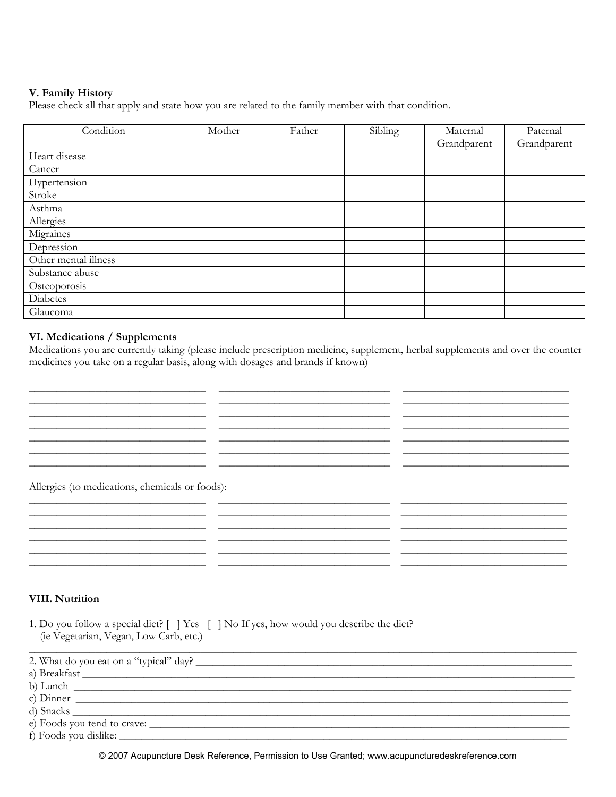## V. Family History

Please check all that apply and state how you are related to the family member with that condition.

| Condition            | Mother | Father | Sibling | Maternal    | Paternal    |
|----------------------|--------|--------|---------|-------------|-------------|
|                      |        |        |         | Grandparent | Grandparent |
| Heart disease        |        |        |         |             |             |
| Cancer               |        |        |         |             |             |
| Hypertension         |        |        |         |             |             |
| Stroke               |        |        |         |             |             |
| Asthma               |        |        |         |             |             |
| Allergies            |        |        |         |             |             |
| Migraines            |        |        |         |             |             |
| Depression           |        |        |         |             |             |
| Other mental illness |        |        |         |             |             |
| Substance abuse      |        |        |         |             |             |
| Osteoporosis         |        |        |         |             |             |
| Diabetes             |        |        |         |             |             |
| Glaucoma             |        |        |         |             |             |

## VI. Medications / Supplements

Medications you are currently taking (please include prescription medicine, supplement, herbal supplements and over the counter medicines you take on a regular basis, along with dosages and brands if known)

<u> 1989 - Andrea Santa Alemania, amerikana amerikana amerikana amerikana amerikana amerikana amerikana amerikana</u>

 $\overline{\phantom{a}}$ 

<u> 1989 - Andrea Santa Andrea Andrea Andrea Andrea Andrea Andrea Andrea Andrea Andrea Andrea Andrea Andrea Andr</u> <u> 1980 - Jan Stein Harry Harry Harry Harry Harry Harry Harry Harry Harry Harry Harry Harry Harry Harry Harry</u>

<u> 1989 - Andrea Andrew Maria (h. 1989).</u> <u> 1989 - Andrea Santa Andrea Andrea Andrea Andrea Andrea Andrea Andrea Andrea Andrea Andrea Andrea Andrea Andr</u> 

<u> 1990 - Jan James Alexandro (h. 1980).</u>

Allergies (to medications, chemicals or foods):

## **VIII. Nutrition**

1. Do you follow a special diet? [ ] Yes [ ] No If yes, how would you describe the diet? (ie Vegetarian, Vegan, Low Carb, etc.)

<u> 1989 - Jan Sarah Barat, masjid a shekara ta 1989 - An an tsaran a shekara tsara tsara tsara tsara tsara tsar</u>

| 2. What do you eat on a "typical" day? |  |
|----------------------------------------|--|
| a) Breakfast                           |  |
|                                        |  |
| $\chi$ ) Dinner                        |  |
|                                        |  |
|                                        |  |
| f) Foods you dislike:                  |  |

© 2007 Acupuncture Desk Reference, Permission to Use Granted; www.acupuncturedeskreference.com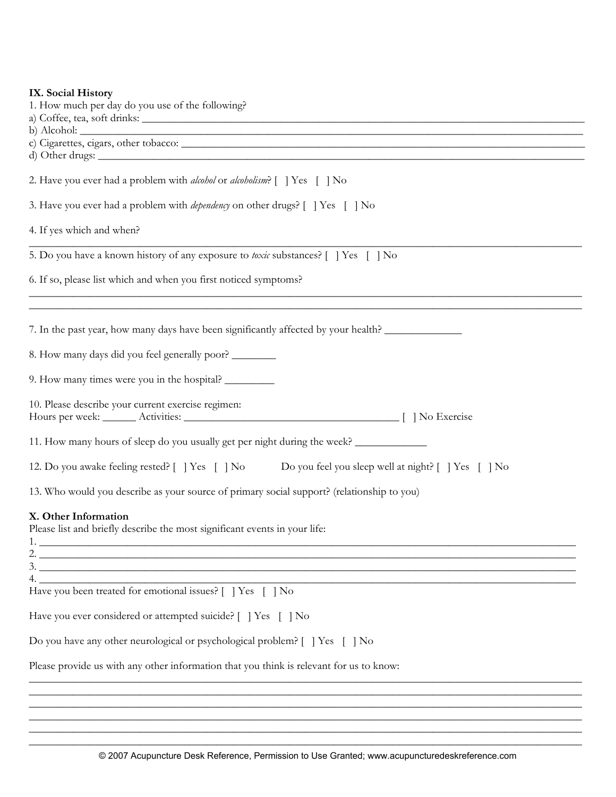|  |  | IX. Social History |
|--|--|--------------------|
|--|--|--------------------|

| IX. Social History                                                                                                                                                                                                                                                                                                                                                                                                                                            |
|---------------------------------------------------------------------------------------------------------------------------------------------------------------------------------------------------------------------------------------------------------------------------------------------------------------------------------------------------------------------------------------------------------------------------------------------------------------|
| 1. How much per day do you use of the following?                                                                                                                                                                                                                                                                                                                                                                                                              |
|                                                                                                                                                                                                                                                                                                                                                                                                                                                               |
|                                                                                                                                                                                                                                                                                                                                                                                                                                                               |
|                                                                                                                                                                                                                                                                                                                                                                                                                                                               |
| 2. Have you ever had a problem with <i>alcohol</i> or <i>alcoholism</i> ? [] Yes [] No                                                                                                                                                                                                                                                                                                                                                                        |
| 3. Have you ever had a problem with <i>dependency</i> on other drugs? [   Yes [   No                                                                                                                                                                                                                                                                                                                                                                          |
| 4. If yes which and when?                                                                                                                                                                                                                                                                                                                                                                                                                                     |
| 5. Do you have a known history of any exposure to toxic substances? [   Yes [   No                                                                                                                                                                                                                                                                                                                                                                            |
| 6. If so, please list which and when you first noticed symptoms?                                                                                                                                                                                                                                                                                                                                                                                              |
| 7. In the past year, how many days have been significantly affected by your health?                                                                                                                                                                                                                                                                                                                                                                           |
| 8. How many days did you feel generally poor? ________                                                                                                                                                                                                                                                                                                                                                                                                        |
| 9. How many times were you in the hospital?                                                                                                                                                                                                                                                                                                                                                                                                                   |
| 10. Please describe your current exercise regimen:                                                                                                                                                                                                                                                                                                                                                                                                            |
| 11. How many hours of sleep do you usually get per night during the week?                                                                                                                                                                                                                                                                                                                                                                                     |
| 12. Do you awake feeling rested? [   Yes [   No Do you feel you sleep well at night? [   Yes [   No                                                                                                                                                                                                                                                                                                                                                           |
| 13. Who would you describe as your source of primary social support? (relationship to you)                                                                                                                                                                                                                                                                                                                                                                    |
| X. Other Information<br>Please list and briefly describe the most significant events in your life:<br>2. $\frac{1}{2}$ $\frac{1}{2}$ $\frac{1}{2}$ $\frac{1}{2}$ $\frac{1}{2}$ $\frac{1}{2}$ $\frac{1}{2}$ $\frac{1}{2}$ $\frac{1}{2}$ $\frac{1}{2}$ $\frac{1}{2}$ $\frac{1}{2}$ $\frac{1}{2}$ $\frac{1}{2}$ $\frac{1}{2}$ $\frac{1}{2}$ $\frac{1}{2}$ $\frac{1}{2}$ $\frac{1}{2}$ $\frac{1}{2}$ $\frac{1}{2}$ $\frac{1}{2}$<br>$3.$ $\overline{\phantom{a}}$ |
|                                                                                                                                                                                                                                                                                                                                                                                                                                                               |
| Have you been treated for emotional issues? [ ] Yes [ ] No                                                                                                                                                                                                                                                                                                                                                                                                    |
| Have you ever considered or attempted suicide? [ ] Yes [ ] No                                                                                                                                                                                                                                                                                                                                                                                                 |
| Do you have any other neurological or psychological problem? [ ] Yes [ ] No                                                                                                                                                                                                                                                                                                                                                                                   |
| Please provide us with any other information that you think is relevant for us to know:                                                                                                                                                                                                                                                                                                                                                                       |
|                                                                                                                                                                                                                                                                                                                                                                                                                                                               |

\_\_\_\_\_\_\_\_\_\_\_\_\_\_\_\_\_\_\_\_\_\_\_\_\_\_\_\_\_\_\_\_\_\_\_\_\_\_\_\_\_\_\_\_\_\_\_\_\_\_\_\_\_\_\_\_\_\_\_\_\_\_\_\_\_\_\_\_\_\_\_\_\_\_\_\_\_\_\_\_\_\_\_\_\_\_\_\_\_\_\_\_\_\_\_\_\_\_\_\_ \_\_\_\_\_\_\_\_\_\_\_\_\_\_\_\_\_\_\_\_\_\_\_\_\_\_\_\_\_\_\_\_\_\_\_\_\_\_\_\_\_\_\_\_\_\_\_\_\_\_\_\_\_\_\_\_\_\_\_\_\_\_\_\_\_\_\_\_\_\_\_\_\_\_\_\_\_\_\_\_\_\_\_\_\_\_\_\_\_\_\_\_\_\_\_\_\_\_\_\_ \_\_\_\_\_\_\_\_\_\_\_\_\_\_\_\_\_\_\_\_\_\_\_\_\_\_\_\_\_\_\_\_\_\_\_\_\_\_\_\_\_\_\_\_\_\_\_\_\_\_\_\_\_\_\_\_\_\_\_\_\_\_\_\_\_\_\_\_\_\_\_\_\_\_\_\_\_\_\_\_\_\_\_\_\_\_\_\_\_\_\_\_\_\_\_\_\_\_\_\_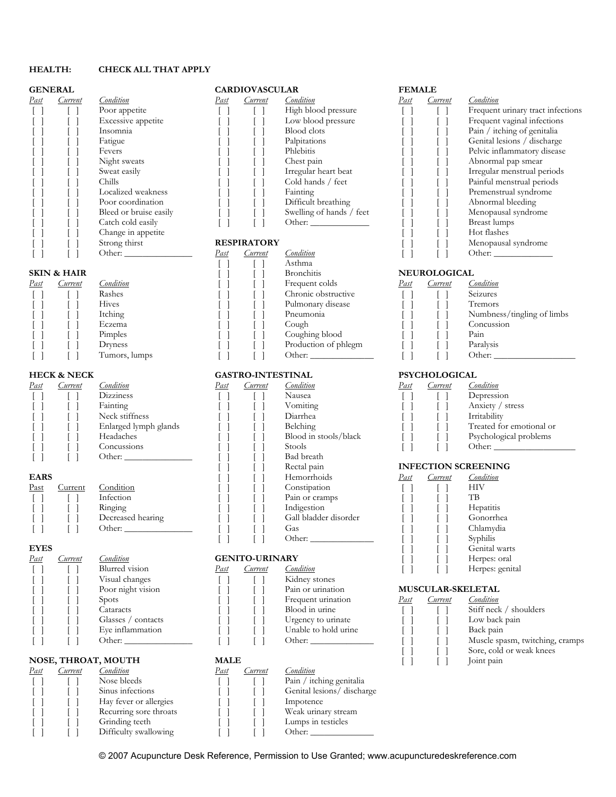## **HEALTH: CHECK ALL THAT APPLY**

| <u>Past</u> | <u>Current</u> |
|-------------|----------------|
| 1           | I<br>L         |
| I           | L              |
| I           | I<br>I         |
| I           | I              |
|             |                |
| I           | I              |
|             | I              |
| I           | I              |
| I           | I              |
| I           | I              |
|             |                |
|             |                |
|             |                |
|             |                |

| .ondition              | ast  | urrent             |
|------------------------|------|--------------------|
| Poor appetite          |      |                    |
| Excessive appetite     |      |                    |
| Insomnia               |      |                    |
| Fatigue                |      |                    |
| Fevers                 |      |                    |
| Night sweats           |      |                    |
| Sweat easily           |      |                    |
| Chills                 |      |                    |
| Localized weakness     |      |                    |
| Poor coordination      |      |                    |
| Bleed or bruise easily |      |                    |
| Catch cold easily      |      |                    |
| Change in appetite     |      |                    |
| Strong thirst          |      | <b>RESPIRATORY</b> |
| Other:                 | Past | Current            |

| Past | Current | Conditio       |
|------|---------|----------------|
|      |         | Rashes         |
|      |         | Hives          |
|      |         | Itching        |
|      |         | Eczema         |
|      |         | <b>Pimple:</b> |
|      |         | Drynes         |
|      |         | $T_{11}$ mors  |

| Past | Current | Condition             | Past | <u>iurrent</u> | Condition             | Past | Current | Condition  |
|------|---------|-----------------------|------|----------------|-----------------------|------|---------|------------|
|      |         | Dizziness             |      |                | Nausea                |      |         | Depress    |
|      |         | Fainting              |      |                | Vomiting              |      |         | Anxiety    |
|      |         | Neck stiffness        |      |                | Diarrhea              |      |         | Irritabili |
|      |         | Enlarged lymph glands |      |                | Belching              |      |         | Treated    |
|      |         | Headaches             |      |                | Blood in stools/black |      |         | Psycholo   |
|      |         | Concussions           |      |                | Stools                |      |         | Other:     |
|      |         | Other:                |      |                | Bad breath            |      |         |            |

| Past | lurrent |
|------|---------|
|      |         |
|      |         |
|      |         |
|      |         |

# *Past Current Condition* **GENITO-URINARY**

| Condition          |
|--------------------|
| Blurred vision     |
| Visual changes     |
| Poor night vision  |
| Spots              |
| Cataracts          |
| Glasses / contacts |
| Eye inflammation   |
| ∩ther              |

 $\begin{bmatrix} 1 \\ 1 \end{bmatrix}$  Difficulty swallowing  $\begin{bmatrix} 1 \\ 1 \end{bmatrix}$ 

# **NOSE, THROAT, MOUTH MALE** <br>
<u>Past Current Condition</u> **Dast** *Condition* **Nose bleeds**

| <b>GENERAL</b> | <b>CARDIOVASCULAR</b> | <b>FEMALE</b> |
|----------------|-----------------------|---------------|
|                |                       |               |

| Past | <i>Lurrent</i> | Condition              | Past | Current | Condition                | Past | <i>Lurrent</i> | Condition               |
|------|----------------|------------------------|------|---------|--------------------------|------|----------------|-------------------------|
|      |                | Poor appetite          |      |         | High blood pressure      |      |                | Frequent urinary tract  |
|      |                | Excessive appetite     |      |         | Low blood pressure       |      |                | Frequent vaginal infer  |
|      |                | Insomnia               |      |         | Blood clots              |      |                | Pain / itching of geni  |
|      |                | Fatigue                |      |         | Palpitations             |      |                | Genital lesions / discl |
|      |                | Fevers                 |      |         | Phlebitis                |      |                | Pelvic inflammatory d   |
|      |                | Night sweats           |      |         | Chest pain               |      |                | Abnormal pap smear      |
|      |                | Sweat easily           |      |         | Irregular heart beat     |      |                | Irregular menstrual pe  |
|      |                | Chills                 |      |         | Cold hands / feet        |      |                | Painful menstrual per   |
|      |                | Localized weakness     |      |         | Fainting                 |      |                | Premenstrual syndron    |
|      |                | Poor coordination      |      |         | Difficult breathing      |      |                | Abnormal bleeding       |
|      |                | Bleed or bruise easily |      |         | Swelling of hands / feet |      |                | Menopausal syndrom      |
|      |                | Catch cold easily      |      |         | Other:                   |      |                | Breast lumps            |

|                        |         | Other:        | Past | Current | Condition            |      |                     | Other:                     |  |  |  |
|------------------------|---------|---------------|------|---------|----------------------|------|---------------------|----------------------------|--|--|--|
|                        |         |               |      |         | Asthma               |      |                     |                            |  |  |  |
| <b>SKIN &amp; HAIR</b> |         |               |      |         | <b>Bronchitis</b>    |      | <b>NEUROLOGICAL</b> |                            |  |  |  |
| Past                   | Current | Condition     |      |         | Frequent colds       | Past | Current             | Condition                  |  |  |  |
|                        |         | Rashes        |      |         | Chronic obstructive  |      |                     | Seizures                   |  |  |  |
|                        |         | Hives         |      |         | Pulmonary disease    |      |                     | Tremors                    |  |  |  |
|                        |         | Itching       |      |         | Pneumonia            |      |                     | Numbness/tingling of limbs |  |  |  |
|                        |         | Eczema        |      |         | Cough                |      |                     | Concussion                 |  |  |  |
|                        |         | Pimples       |      |         | Coughing blood       |      |                     | Pain                       |  |  |  |
|                        |         | Dryness       |      |         | Production of phlegm |      |                     | Paralysis                  |  |  |  |
|                        |         | Tumors, lumps |      |         | Other:               |      |                     | Other:                     |  |  |  |

## **HECK & NECK GASTRO-INTESTINAL PSYCHOLOGICAL**

| <u>Past</u> | Current | <i>_ondition</i>      | <u>Past</u> | Current | Condition             | <u>Past</u> | <i>surrent</i> | Condition                  |
|-------------|---------|-----------------------|-------------|---------|-----------------------|-------------|----------------|----------------------------|
|             |         | <b>Dizziness</b>      |             |         | Nausea                |             |                | Depression                 |
|             |         | Fainting              |             |         | Vomiting              |             |                | Anxiety / stress           |
|             |         | Neck stiffness        |             |         | Diarrhea              |             |                | Irritability               |
|             |         | Enlarged lymph glands |             |         | Belching              |             |                | Treated for emo            |
|             |         | Headaches             |             |         | Blood in stools/black |             |                | Psychological pr           |
|             |         | Concussions           |             |         | Stools                |             |                | Other:                     |
|             |         | Other:                |             |         | Bad breath            |             |                |                            |
|             |         |                       |             |         | Rectal pain           |             |                | <b>INFECTION SCREENING</b> |
| <b>EARS</b> |         |                       |             |         | Hemorrhoids           | Past        | Current        | Condition                  |
| Past        | Current | Condition             |             |         | Constipation          |             |                | <b>HIV</b>                 |
| $\Box$      |         | Infection             |             |         | Pain or cramps        |             |                | TB                         |
|             |         | Ringing               |             |         | Indigestion           |             |                | Hepatitis                  |
|             |         | Decreased hearing     |             |         | Gall bladder disorder |             |                | Gonorrhea                  |
|             |         | Other:                |             |         | Gas                   |             |                | Chlamydia                  |
|             |         |                       |             |         | Other:                |             |                | Syphilis                   |
| <b>EYES</b> |         |                       |             |         |                       |             |                | Genital warts              |

|                     |              | Blurred vision     | <u>Past</u>        | Current | Condition            |      |            | Herpes: genital          |
|---------------------|--------------|--------------------|--------------------|---------|----------------------|------|------------|--------------------------|
|                     |              | Visual changes     |                    |         | Kidney stones        |      |            |                          |
|                     |              | Poor night vision  |                    |         | Pain or urination    |      |            | <b>MUSCULAR-SKELETAL</b> |
|                     |              | <i>Spots</i>       |                    |         | Frequent urination   | Past | Current    | Condition                |
|                     |              | Cataracts          |                    |         | Blood in urine       |      |            | Stiff neck / sho         |
|                     |              | Glasses / contacts |                    |         | Urgency to urinate   |      |            | Low back pain            |
|                     |              | Eye inflammation   |                    |         | Unable to hold urine |      |            | Back pain                |
|                     |              |                    |                    |         | Other:               |      |            | Muscle spasm,            |
|                     |              |                    |                    |         |                      |      |            | Sore, cold or w          |
| NOSE, THROAT, MOUTH |              | <b>MALE</b>        |                    |         |                      |      | Joint pain |                          |
|                     | Past Current | Condition          | $P_{\alpha\sigma}$ | urrent  | Condition            |      |            |                          |

# [ ] [ ] Nose bleeds [ ] [ ] Pain / itching genitalia<br>
[ ] [ ] Sinus infections [ ] [ ] Genital lesions/ discha [ ] [ ] Sinus infections [ ] [ ] Genital lesions/ discharge [ ] [ ] Hay fever or allergies [ ] [ ] Impotence [ ] [ ] Recurring sore throats [ ] [ ] Weak urinary stream [ ] [ ] Weak urinary stream [ ] [ ] ] Ulmps in testicles [ ] [ ] Grinding teeth [ ] [ ] Lumps in testicles<br>1 [ ] Difficulty swallowing [ ] [ ] Other:

| ast | Current | Condition              | Past | <i>Lurrent</i>     | Condition                | Past | Lurrent | Condition                         |
|-----|---------|------------------------|------|--------------------|--------------------------|------|---------|-----------------------------------|
|     |         | Poor appetite          |      |                    | High blood pressure      |      |         | Frequent urinary tract infections |
|     |         | Excessive appetite     |      |                    | Low blood pressure       |      |         | Frequent vaginal infections       |
|     |         | Insomnia               |      |                    | <b>Blood</b> clots       |      |         | Pain / itching of genitalia       |
|     |         | Fatigue                |      |                    | Palpitations             |      |         | Genital lesions / discharge       |
|     |         | Fevers                 |      |                    | Phlebitis                |      |         | Pelvic inflammatory disease       |
|     |         | Night sweats           |      |                    | Chest pain               |      |         | Abnormal pap smear                |
|     |         | Sweat easily           |      |                    | Irregular heart beat     |      |         | Irregular menstrual periods       |
|     |         | Chills                 |      |                    | Cold hands / feet        |      |         | Painful menstrual periods         |
|     |         | Localized weakness     |      |                    | Fainting                 |      |         | Premenstrual syndrome             |
|     |         | Poor coordination      |      |                    | Difficult breathing      |      |         | Abnormal bleeding                 |
|     |         | Bleed or bruise easily |      |                    | Swelling of hands / feet |      |         | Menopausal syndrome               |
|     |         | Catch cold easily      |      |                    |                          |      |         | Breast lumps                      |
|     |         | Change in appetite     |      |                    |                          |      |         | Hot flashes                       |
|     |         | Strong thirst          |      | <b>RESPIRATORY</b> |                          |      |         | Menopausal syndrome               |
|     |         | Other                  | Past | Current            | Condition                |      |         | Other                             |

| <sup>dst</sup> | Current | condition.     |  | Frequent colds       | Past | <i>surrent</i> | Condition                  |
|----------------|---------|----------------|--|----------------------|------|----------------|----------------------------|
|                |         | Rashes         |  | Chronic obstructive  |      |                | Seizures                   |
|                |         | Hives          |  | Pulmonary disease    |      |                | Tremors                    |
|                |         | Itching        |  | Pneumonia            |      |                | Numbness/tingling of limbs |
|                |         | Eczema         |  | Cough                |      |                | Concussion                 |
|                |         | Pimples        |  | Coughing blood       |      |                | Pain                       |
|                |         | Dryness        |  | Production of phlegm |      |                | Paralysis                  |
|                |         | Fumors. Iumos. |  | Other:               |      |                | Other:                     |

| <sup>2</sup> ast | <i>Lurrent</i> | Condition             | Past | <i>urrent</i> | Condition             | Pasi | urrent. | Condition                |
|------------------|----------------|-----------------------|------|---------------|-----------------------|------|---------|--------------------------|
|                  |                | <b>Dizziness</b>      |      |               | Nausea                |      |         | Depression               |
|                  |                | Fainting              |      |               | Vomiting              |      |         | Anxiety /<br>/ stress    |
|                  |                | Neck stiffness        |      |               | Diarrhea              |      |         | Irritability             |
|                  |                | Enlarged lymph glands |      |               | <b>Belching</b>       |      |         | Treated for emotional or |
|                  |                | Headaches             |      |               | Blood in stools/black |      |         | Psychological problems   |
|                  |                | concussions           |      |               | Stools                |      |         | Other:                   |

## $$

| EARS             |         |                   |      |                       | Hemorrhoids           | Past | Current | Condition       |
|------------------|---------|-------------------|------|-----------------------|-----------------------|------|---------|-----------------|
| <sup>2</sup> ast | Current | Condition         |      |                       | Constipation          |      |         | HIV             |
|                  |         | Infection         |      |                       | Pain or cramps        |      |         | TВ              |
|                  |         | Ringing           |      |                       | Indigestion           |      |         | Hepatitis       |
|                  |         | Decreased hearing |      |                       | Gall bladder disorder |      |         | Gonorrhea       |
|                  |         |                   |      |                       | Gas                   |      |         | Chlamydia       |
|                  |         |                   |      |                       | Other:                |      |         | Syphilis        |
| <b>EYES</b>      |         |                   |      |                       |                       |      |         | Genital warts   |
| <sup>dst</sup>   | Current | Condition         |      | <b>GENITO-URINARY</b> |                       |      |         | Herpes: oral    |
|                  |         | Blurred vision    | Past | <i>Lurrent</i>        | Condition             |      |         | Herpes: genital |

|                            |  | Spots<br>Cataracts |             | Frequent urination<br>Blood in urine | Pasi | Current | ondition_<br>Stiff neck / shoulders |
|----------------------------|--|--------------------|-------------|--------------------------------------|------|---------|-------------------------------------|
|                            |  | Glasses / contacts |             | Urgency to urinate                   |      |         | Low back pain                       |
|                            |  | Eye inflammation   |             | Unable to hold urine                 |      |         | Back pain                           |
|                            |  | Other:             |             | Other:                               |      |         | Muscle spasm, twitching, cramps     |
|                            |  |                    |             |                                      |      |         | Sore, cold or weak knees            |
| <b>NOSE, THROAT, MOUTH</b> |  |                    | <b>MALE</b> |                                      |      |         | Joint pain                          |

© 2007 Acupuncture Desk Reference, Permission to Use Granted; www.acupuncturedeskreference.com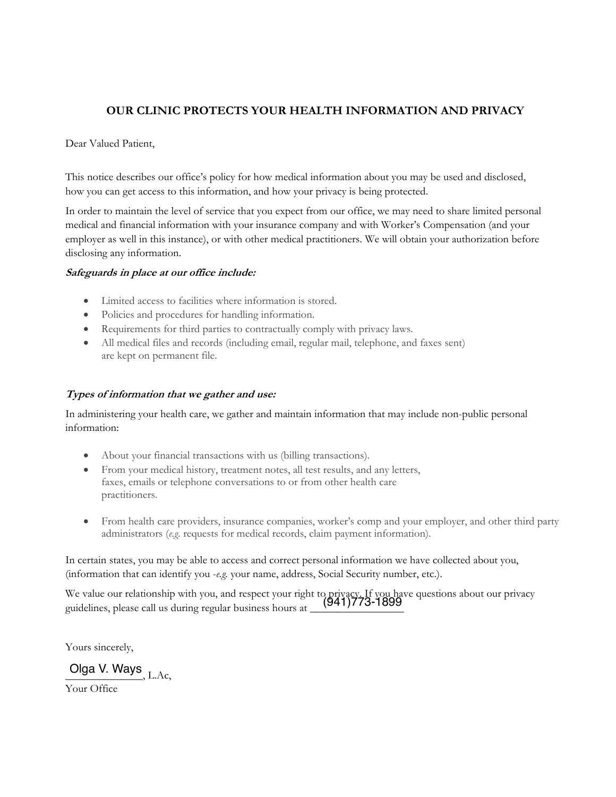# **OUR CLINIC PROTECTS YOUR HEALTH INFORMATION AND PRIVACY**

Dear Valued Patient,

This notice describes our office's policy for how medical information about you may be used and disclosed, how you can get access to this information, and how your privacy is being protected.

In order to maintain the level of service that you expect from our office, we may need to share limited personal medical and financial information with your insurance company and with Worker's Compensation (and your employer as well in this instance), or with other medical practitioners. We will obtain your authorization before disclosing any information.

## **Safeguards in place at our office include:**

- Limited access to facilities where information is stored.
- Policies and procedures for handling information.
- Requirements for third parties to contractually comply with privacy laws.
- x All medical files and records (including email, regular mail, telephone, and faxes sent) are kept on permanent file.

## **Types of information that we gather and use:**

In administering your health care, we gather and maintain information that may include non-public personal information:

- About your financial transactions with us (billing transactions).
- From your medical history, treatment notes, all test results, and any letters, faxes, emails or telephone conversations to or from other health care practitioners.
- From health care providers, insurance companies, worker's comp and your employer, and other third party administrators (*e.g*. requests for medical records, claim payment information).

In certain states, you may be able to access and correct personal information we have collected about you, (information that can identify you -*e.g.* your name, address, Social Security number, etc.).

We value our relationship with you, and respect your right to privacy. If you have questions about our privacy<br>
(941)773-1899 guidelines, please call us during regular business hours at \_\_\_\_\_\_\_\_\_\_\_\_\_\_\_\_\_

Yours sincerely,

Olga V. Ways<sub>, L.Ac,</sub>

Your Office